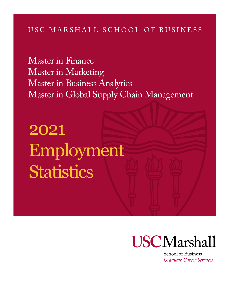## USC MARSHALL SCHOOL OF BUSINESS

Master in Finance Master in Marketing Master in Business Analytics Master in Global Supply Chain Management

2021 Employment **Statistics** 



School of Business Graduate Career Services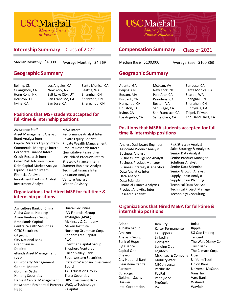

## **Internship Summary** - Class of 2022\*

Median Monthly \$4,000 Average Monthly \$4,569

## **Geographic Summary**

| Beijing, CN   | Los Angeles, CA    | Santa Monica, CA |
|---------------|--------------------|------------------|
| Guangzhou, CN | New York, NY       | Seattle, WA      |
| Hong Kong, HK | Salt Lake City, UT | Shanghai, CN     |
| Houston, TX   | San Francisco, CA  | Shenzhen, CN     |
| Irvine, CA    | San Jose, CA       | Zhengzhou, CN    |

#### **Positions that MSF students accepted for full-time & internship positions**

Assurance Staff Asset Management Analyst Bond Analyst Intern Capital Markets Equity Intern Commercial Mortgage Intern Corporate Finance Intern Credit Research Intern Cyber Risk Advisory Intern Debt Capital Market Analyst Equity Research Intern Financial Analyst Intern Investment Banking Analyst

M&A Intern Performance Analyst Intern Private Equity Analyst Private Wealth Management Product Research Intern Quantitative Researcher Securitized Products Intern Strategic Finance Intern Technical Finance Intern Valuation Analyst Venture Analyst Wealth Advisory

#### **Organizations that Hired MSF for full-time & internship positions**

Agriculture Bank of China Thuatai Securities Technology Consulting Consulting Alpha Capital Holdings Azure Ventures Group Brooklands Capital Central Wealth Securities CITIC Securities Citigroup City National Bank Credit Suisse Deloitte eFunds Asset Management EZGo GE Property Management General Motors Goldman Sachs Haitong Securities Harvest Capital Management Hawthorne Residential Partners WeCyte Technology HSBC

Huatai Securities IAN Financial Group JPMorgan (APAC) McKinsey & Company Milken Institute Northrop Grumman Corp. Phoenix Tree Capital PwC Shenzhen Capital Group Shepherd Ventures Silicon Valley Bank Southwestern Securities State of Wisconsin Investment Board TAL Education Group Truist Securities UBS Investment Bank Z Capital

*\*The MS Finance program transitioned from a 1-year to a 16-month program starting in Fall 2020, enabling students to take a summer internship. The full-time employment report and compensation statistics will be available in Spring 2022.*



## **Compensation Summary - Class of 2021**

Median Base \$100,000

Average Base \$100,863

## **Geographic Summary**

| Atlanta, GA     | McLean, VA        | San Jose, CA      |
|-----------------|-------------------|-------------------|
| Beijing, CN     | New York, NY      | Santa Monica, CA  |
| Boston, MA      | Palo Alto, CA     | Seattle, WA       |
| Burbank, CA     | Pasadena, CA      | Shanghai, CN      |
| Hangzhou, CN    | Reston, VA        | Shenzhen, CN      |
| Houston, TX     | San Diego, CA     | Sunnyvale, CA     |
| Irvine, CA      | San Francisco, CA | Taipei, Taiwan    |
| Los Angeles, CA | Santa Clara, CA   | Thousand Oaks, CA |
|                 |                   |                   |

### **Positions that MSBA students accepted for fulltime & Internship positions**

Analyst Dashboard Engineer Associate Product Analyst Business Analyst Business Intelligence Analyst Business Product Manager Business Strategy & Analytics Data Analytics Intern Data Analyst Data Scientist Financial Crimes Analytics Product Analytics Intern Research Analyst

Risk Strategy Analyst Sales Strategy & Analytics Senior Data Analyst Senior Product Manager Solutions Analyst Senior Data Scientist Senior Growth Analyst Supply Chain Analyst Supply Chain Planning Technical Data Analyst Technical Project Manager

#### **Organizations that Hired MSBA for full-time & internshhip positions**

Jam City

Adobe Alibaba Group Amazon Analysis Group Bank of Hope ByteDance Capital One Chevron City National Bank Clearstone Capital **Partners** CoreLogic Goldman Sachs Huawei Intel Corporation

Kaiser Permanente LA Clippers LinkedIn Lionsgate Lending Club Logitech McKinsey & Company MobilityWare NBCUniversal PacificLife PayPal PennyMac ProCogia PwC

Roku Ripple SG Cap Trading Tencent The Walt Disney Co. Trust Bank The Climate Corp. Uber Uniform Teeth Union Bank Universal McCann Vans, Inc. Varo Bank Walmart Wayfair